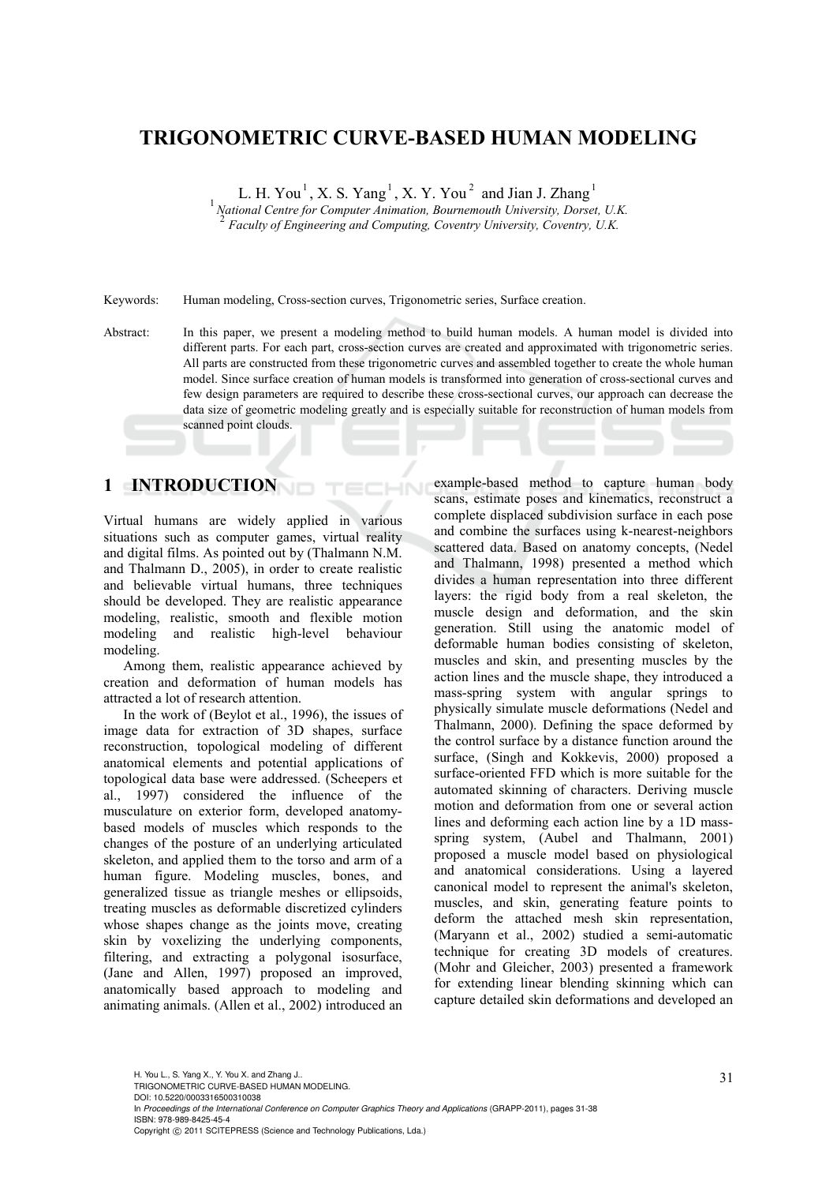# **TRIGONOMETRIC CURVE-BASED HUMAN MODELING**

L. H. You<sup>1</sup>, X. S. Yang<sup>1</sup>, X. Y. You<sup>2</sup> and Jian J. Zhang<sup>1</sup>

<sup>1</sup> National Centre for Computer Animation, Bournemouth University, Dorset, U.K. <sup>2</sup> *Faculty of Engineering and Computing, Coventry University, Coventry, U.K.* 

Keywords: Human modeling, Cross-section curves, Trigonometric series, Surface creation.

Abstract: In this paper, we present a modeling method to build human models. A human model is divided into different parts. For each part, cross-section curves are created and approximated with trigonometric series. All parts are constructed from these trigonometric curves and assembled together to create the whole human model. Since surface creation of human models is transformed into generation of cross-sectional curves and few design parameters are required to describe these cross-sectional curves, our approach can decrease the data size of geometric modeling greatly and is especially suitable for reconstruction of human models from scanned point clouds.

HN

## **1 INTRODUCTION**

Virtual humans are widely applied in various situations such as computer games, virtual reality and digital films. As pointed out by (Thalmann N.M. and Thalmann D., 2005), in order to create realistic and believable virtual humans, three techniques should be developed. They are realistic appearance modeling, realistic, smooth and flexible motion modeling and realistic high-level behaviour modeling.

Among them, realistic appearance achieved by creation and deformation of human models has attracted a lot of research attention.

In the work of (Beylot et al., 1996), the issues of image data for extraction of 3D shapes, surface reconstruction, topological modeling of different anatomical elements and potential applications of topological data base were addressed. (Scheepers et al., 1997) considered the influence of the musculature on exterior form, developed anatomybased models of muscles which responds to the changes of the posture of an underlying articulated skeleton, and applied them to the torso and arm of a human figure. Modeling muscles, bones, and generalized tissue as triangle meshes or ellipsoids, treating muscles as deformable discretized cylinders whose shapes change as the joints move, creating skin by voxelizing the underlying components, filtering, and extracting a polygonal isosurface, (Jane and Allen, 1997) proposed an improved, anatomically based approach to modeling and animating animals. (Allen et al., 2002) introduced an

example-based method to capture human body scans, estimate poses and kinematics, reconstruct a complete displaced subdivision surface in each pose and combine the surfaces using k-nearest-neighbors scattered data. Based on anatomy concepts, (Nedel and Thalmann, 1998) presented a method which divides a human representation into three different layers: the rigid body from a real skeleton, the muscle design and deformation, and the skin generation. Still using the anatomic model of deformable human bodies consisting of skeleton, muscles and skin, and presenting muscles by the action lines and the muscle shape, they introduced a mass-spring system with angular springs to physically simulate muscle deformations (Nedel and Thalmann, 2000). Defining the space deformed by the control surface by a distance function around the surface, (Singh and Kokkevis, 2000) proposed a surface-oriented FFD which is more suitable for the automated skinning of characters. Deriving muscle motion and deformation from one or several action lines and deforming each action line by a 1D massspring system, (Aubel and Thalmann, 2001) proposed a muscle model based on physiological and anatomical considerations. Using a layered canonical model to represent the animal's skeleton, muscles, and skin, generating feature points to deform the attached mesh skin representation, (Maryann et al., 2002) studied a semi-automatic technique for creating 3D models of creatures. (Mohr and Gleicher, 2003) presented a framework for extending linear blending skinning which can capture detailed skin deformations and developed an

In *Proceedings of the International Conference on Computer Graphics Theory and Applications* (GRAPP-2011), pages 31-38 ISBN: 978-989-8425-45-4

Copyright © 2011 SCITEPRESS (Science and Technology Publications, Lda.)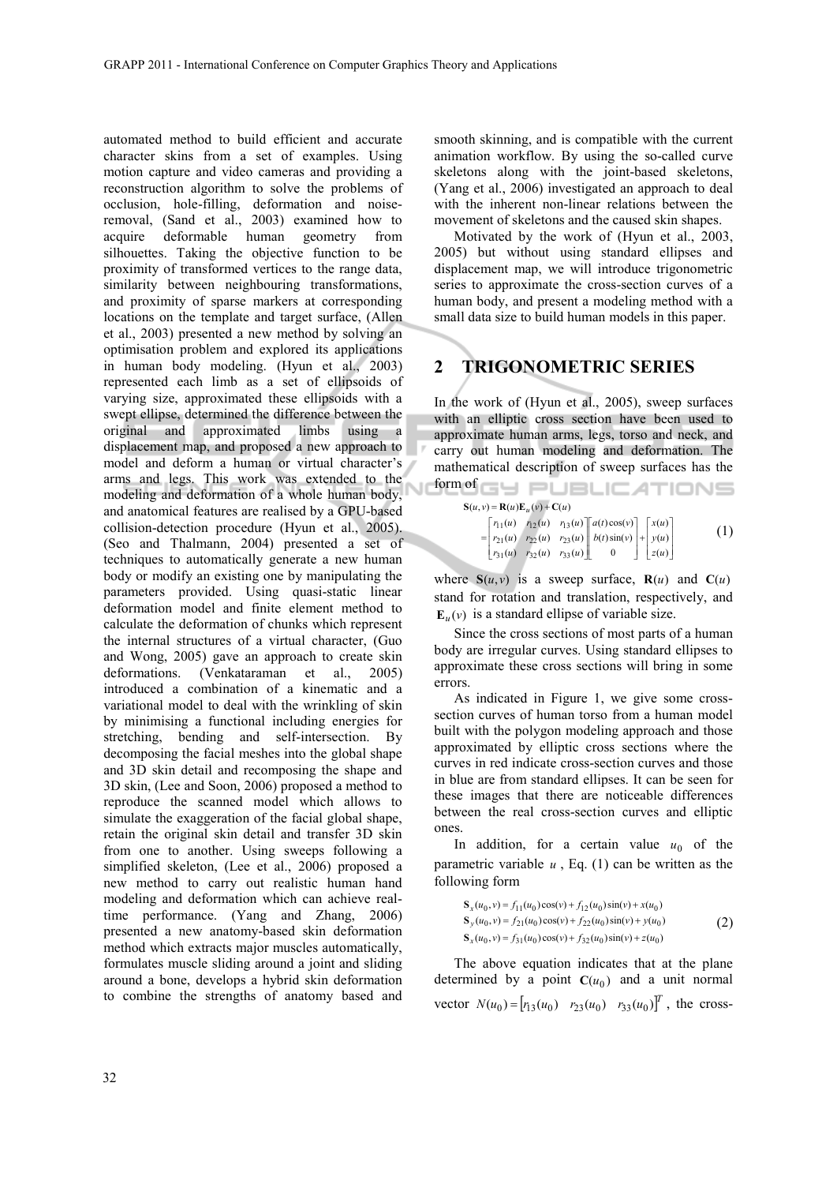automated method to build efficient and accurate character skins from a set of examples. Using motion capture and video cameras and providing a reconstruction algorithm to solve the problems of occlusion, hole-filling, deformation and noiseremoval, (Sand et al., 2003) examined how to acquire deformable human geometry from silhouettes. Taking the objective function to be proximity of transformed vertices to the range data, similarity between neighbouring transformations, and proximity of sparse markers at corresponding locations on the template and target surface, (Allen et al., 2003) presented a new method by solving an optimisation problem and explored its applications in human body modeling. (Hyun et al., 2003) represented each limb as a set of ellipsoids of varying size, approximated these ellipsoids with a swept ellipse, determined the difference between the original and approximated limbs using a displacement map, and proposed a new approach to model and deform a human or virtual character's arms and legs. This work was extended to the modeling and deformation of a whole human body, and anatomical features are realised by a GPU-based collision-detection procedure (Hyun et al., 2005). (Seo and Thalmann, 2004) presented a set of techniques to automatically generate a new human body or modify an existing one by manipulating the parameters provided. Using quasi-static linear deformation model and finite element method to calculate the deformation of chunks which represent the internal structures of a virtual character, (Guo and Wong, 2005) gave an approach to create skin deformations. (Venkataraman et al., 2005) introduced a combination of a kinematic and a variational model to deal with the wrinkling of skin by minimising a functional including energies for stretching, bending and self-intersection. By decomposing the facial meshes into the global shape and 3D skin detail and recomposing the shape and 3D skin, (Lee and Soon, 2006) proposed a method to reproduce the scanned model which allows to simulate the exaggeration of the facial global shape, retain the original skin detail and transfer 3D skin from one to another. Using sweeps following a simplified skeleton, (Lee et al., 2006) proposed a new method to carry out realistic human hand modeling and deformation which can achieve realtime performance. (Yang and Zhang, 2006) presented a new anatomy-based skin deformation method which extracts major muscles automatically, formulates muscle sliding around a joint and sliding around a bone, develops a hybrid skin deformation to combine the strengths of anatomy based and

smooth skinning, and is compatible with the current animation workflow. By using the so-called curve skeletons along with the joint-based skeletons, (Yang et al., 2006) investigated an approach to deal with the inherent non-linear relations between the movement of skeletons and the caused skin shapes.

Motivated by the work of (Hyun et al., 2003, 2005) but without using standard ellipses and displacement map, we will introduce trigonometric series to approximate the cross-section curves of a human body, and present a modeling method with a small data size to build human models in this paper.

#### **2 TRIGONOMETRIC SERIES**

In the work of (Hyun et al., 2005), sweep surfaces with an elliptic cross section have been used to approximate human arms, legs, torso and neck, and carry out human modeling and deformation. The mathematical description of sweep surfaces has the form of GU PLIELIC ATIONS

| $\mathbf{S}(u, v) = \mathbf{R}(u)\mathbf{E}_u(v) + \mathbf{C}(u)$ |  |                                                                                                                                                                                                                                                              |  |     |
|-------------------------------------------------------------------|--|--------------------------------------------------------------------------------------------------------------------------------------------------------------------------------------------------------------------------------------------------------------|--|-----|
|                                                                   |  | $\begin{bmatrix} r_{11}(u) & r_{12}(u) & r_{13}(u) \ r_{21}(u) & r_{22}(u) & r_{23}(u) \ r_{31}(u) & r_{32}(u) & r_{33}(u) \end{bmatrix} \begin{bmatrix} a(t)\cos(v) \\ b(t)\sin(v) \\ t \end{bmatrix} + \begin{bmatrix} x(u) \\ y(u) \\ z(u) \end{bmatrix}$ |  | (1) |

where  $S(u, v)$  is a sweep surface,  $R(u)$  and  $C(u)$ stand for rotation and translation, respectively, and  $\mathbf{E}_u(\mathbf{v})$  is a standard ellipse of variable size.

Since the cross sections of most parts of a human body are irregular curves. Using standard ellipses to approximate these cross sections will bring in some errors.

As indicated in Figure 1, we give some crosssection curves of human torso from a human model built with the polygon modeling approach and those approximated by elliptic cross sections where the curves in red indicate cross-section curves and those in blue are from standard ellipses. It can be seen for these images that there are noticeable differences between the real cross-section curves and elliptic ones.

In addition, for a certain value  $u_0$  of the parametric variable  $u$ , Eq.  $(1)$  can be written as the following form

$$
S_x(u_0, v) = f_{11}(u_0)\cos(v) + f_{12}(u_0)\sin(v) + x(u_0)
$$
  
\n
$$
S_y(u_0, v) = f_{21}(u_0)\cos(v) + f_{22}(u_0)\sin(v) + y(u_0)
$$
  
\n
$$
S_x(u_0, v) = f_{31}(u_0)\cos(v) + f_{32}(u_0)\sin(v) + z(u_0)
$$
\n(2)

The above equation indicates that at the plane determined by a point  $C(u_0)$  and a unit normal vector  $N(u_0) = [r_{13}(u_0) \quad r_{23}(u_0) \quad r_{33}(u_0)]^T$ , the cross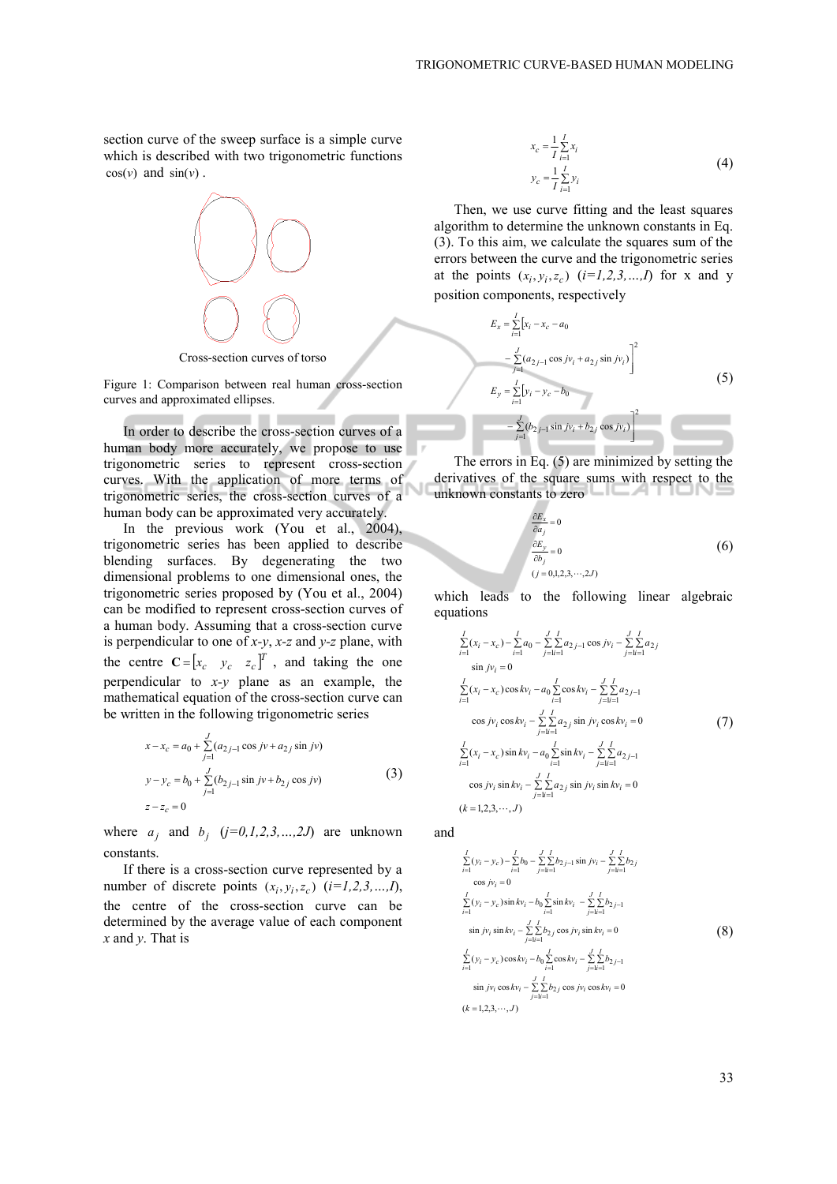section curve of the sweep surface is a simple curve which is described with two trigonometric functions  $cos(v)$  and  $sin(v)$ .



Cross-section curves of torso

Figure 1: Comparison between real human cross-section curves and approximated ellipses.

In order to describe the cross-section curves of a human body more accurately, we propose to use trigonometric series to represent cross-section curves. With the application of more terms of trigonometric series, the cross-section curves of a human body can be approximated very accurately.

In the previous work (You et al., 2004), trigonometric series has been applied to describe blending surfaces. By degenerating the two dimensional problems to one dimensional ones, the trigonometric series proposed by (You et al., 2004) can be modified to represent cross-section curves of a human body. Assuming that a cross-section curve is perpendicular to one of *x-y*, *x-z* and *y-z* plane, with the centre  $C = [x_c \quad y_c \quad z_c]^T$ , and taking the one perpendicular to *x-y* plane as an example, the mathematical equation of the cross-section curve can be written in the following trigonometric series

$$
x - x_c = a_0 + \sum_{j=1}^{J} (a_{2j-1} \cos jv + a_{2j} \sin jv)
$$
  
\n
$$
y - y_c = b_0 + \sum_{j=1}^{J} (b_{2j-1} \sin jv + b_{2j} \cos jv)
$$
 (3)

where  $a_j$  and  $b_j$   $(j=0,1,2,3,...,2J)$  are unknown constants.

If there is a cross-section curve represented by a number of discrete points  $(x_i, y_i, z_c)$   $(i=1,2,3,...,I)$ , the centre of the cross-section curve can be determined by the average value of each component *x* and *y*. That is

$$
x_c = \frac{1}{I} \sum_{i=1}^{I} x_i
$$
  

$$
y_c = \frac{1}{I} \sum_{i=1}^{I} y_i
$$
 (4)

Then, we use curve fitting and the least squares algorithm to determine the unknown constants in Eq. (3). To this aim, we calculate the squares sum of the errors between the curve and the trigonometric series at the points  $(x_i, y_i, z_c)$   $(i=1,2,3,...,I)$  for x and y position components, respectively

$$
E_x = \sum_{i=1}^{I} [x_i - x_c - a_0
$$
  
\n
$$
- \sum_{j=1}^{J} (a_{2j-1} \cos jv_i + a_{2j} \sin jv_i) \bigg]^2
$$
  
\n
$$
E_y = \sum_{i=1}^{I} [y_i - y_c - b_0
$$
  
\n
$$
- \sum_{j=1}^{J} (b_{2j-1} \sin jv_i + b_{2j} \cos jv_i) \bigg]^2
$$
  
\n(5)

The errors in Eq. (5) are minimized by setting the derivatives of the square sums with respect to the unknown constants to zero

$$
\frac{\partial E_x}{\partial a_j} = 0
$$
  

$$
\frac{\partial E_y}{\partial b_j} = 0
$$
  
(j = 0,1,2,3,...,2J) (6)

which leads to the following linear algebraic equations

$$
\sum_{i=1}^{I} (x_i - x_c) - \sum_{i=1}^{I} a_0 - \sum_{j=1}^{I} \sum_{i=1}^{I} a_{2j-1} \cos j v_i - \sum_{j=1}^{I} \sum_{i=1}^{I} a_{2j} \n\sin j v_i = 0 \n\sum_{i=1}^{I} (x_i - x_c) \cos k v_i - a_0 \sum_{i=1}^{I} \cos k v_i - \sum_{j=1}^{I} \sum_{i=1}^{I} a_{2j-1} \n\cos j v_i \cos k v_i - \sum_{j=1}^{I} \sum_{i=1}^{I} a_{2j} \sin j v_i \cos k v_i = 0 \n\sum_{i=1}^{I} (x_i - x_c) \sin k v_i - a_0 \sum_{i=1}^{I} \sin k v_i - \sum_{j=1}^{I} \sum_{i=1}^{I} a_{2j-1} \n\cos j v_i \sin k v_i - \sum_{j=1}^{I} \sum_{i=1}^{I} a_{2j} \sin j v_i \sin k v_i = 0 \n(k = 1, 2, 3, ..., J)
$$

and

$$
\sum_{i=1}^{I} (y_i - y_c) - \sum_{i=1}^{I} b_0 - \sum_{j=1}^{J} \sum_{j-1}^{I} \sin jv_i - \sum_{j=1}^{J} \sum_{i=1}^{I} b_{2j}
$$
\n
$$
\cos jv_i = 0
$$
\n
$$
\sum_{i=1}^{I} (y_i - y_c) \sin kv_i - b_0 \sum_{i=1}^{J} \sin kv_i - \sum_{j=1}^{J} \sum_{i=1}^{I} b_{2j-1}
$$
\n
$$
\sin jv_i \sin kv_i - \sum_{j=1}^{J} \sum_{i=1}^{I} b_{2j} \cos jv_i \sin kv_i = 0
$$
\n
$$
\sum_{i=1}^{I} (y_i - y_c) \cos kv_i - b_0 \sum_{i=1}^{J} \cos kv_i - \sum_{j=1}^{J} \sum_{i=1}^{I} b_{2j-1}
$$
\n
$$
\sin jv_i \cos kv_i - \sum_{j=1}^{J} \sum_{i=1}^{I} b_{2j} \cos jv_i \cos kv_i = 0
$$
\n
$$
(k = 1, 2, 3, \cdots, J)
$$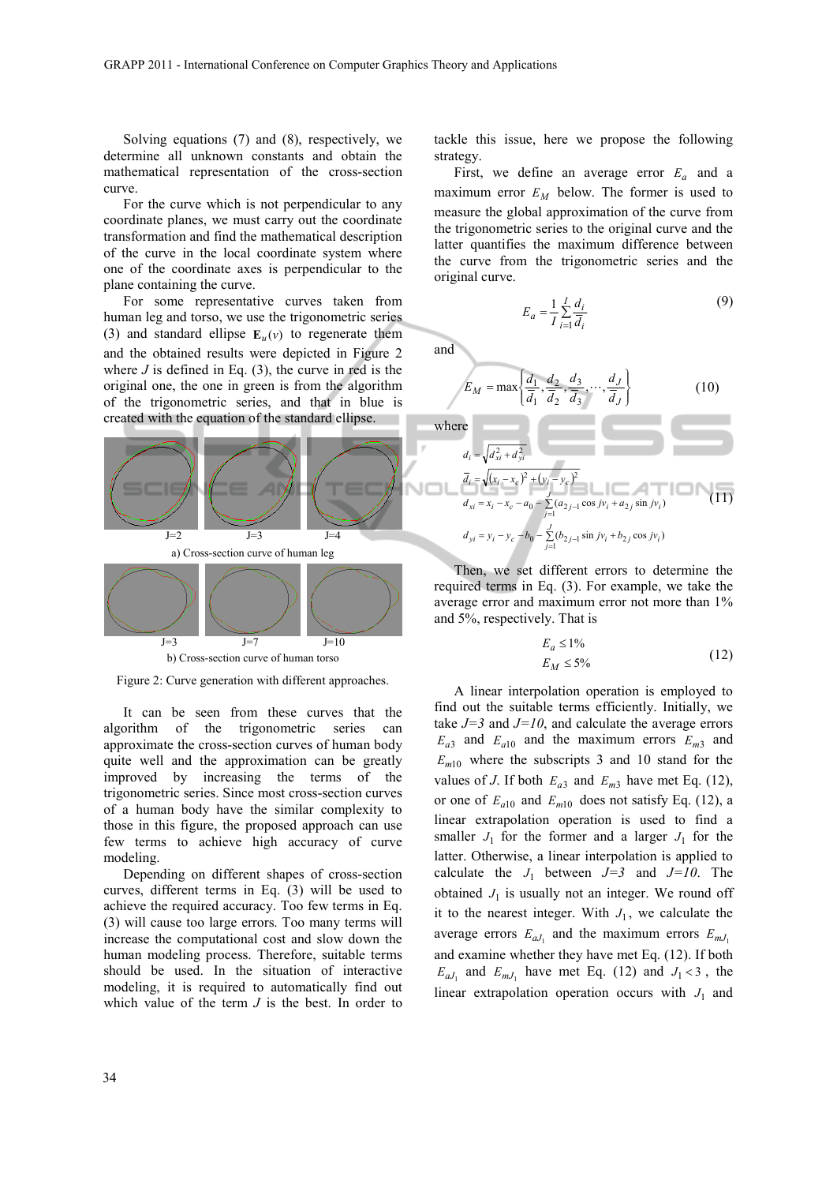Solving equations (7) and (8), respectively, we determine all unknown constants and obtain the mathematical representation of the cross-section curve.

For the curve which is not perpendicular to any coordinate planes, we must carry out the coordinate transformation and find the mathematical description of the curve in the local coordinate system where one of the coordinate axes is perpendicular to the plane containing the curve.

For some representative curves taken from human leg and torso, we use the trigonometric series (3) and standard ellipse  $\mathbf{E}_u(v)$  to regenerate them and the obtained results were depicted in Figure 2 where  $J$  is defined in Eq.  $(3)$ , the curve in red is the original one, the one in green is from the algorithm of the trigonometric series, and that in blue is created with the equation of the standard ellipse.



b) Cross-section curve of human torso

Figure 2: Curve generation with different approaches.

It can be seen from these curves that the algorithm of the trigonometric series can approximate the cross-section curves of human body quite well and the approximation can be greatly improved by increasing the terms of the trigonometric series. Since most cross-section curves of a human body have the similar complexity to those in this figure, the proposed approach can use few terms to achieve high accuracy of curve modeling.

Depending on different shapes of cross-section curves, different terms in Eq. (3) will be used to achieve the required accuracy. Too few terms in Eq. (3) will cause too large errors. Too many terms will increase the computational cost and slow down the human modeling process. Therefore, suitable terms should be used. In the situation of interactive modeling, it is required to automatically find out which value of the term *J* is the best. In order to

tackle this issue, here we propose the following strategy.

First, we define an average error  $E_a$  and a maximum error  $E_M$  below. The former is used to measure the global approximation of the curve from the trigonometric series to the original curve and the latter quantifies the maximum difference between the curve from the trigonometric series and the original curve.

$$
E_a = \frac{1}{I} \sum_{i=1}^{I} \frac{d_i}{d_i}
$$
 (9)

 $(10)$ 

and

where

$$
E_M = \max\left\{\frac{d_1}{\overline{d_1}}, \frac{d_2}{\overline{d_2}}, \frac{d_3}{\overline{d_3}}, \dots, \frac{d_J}{\overline{d_J}}\right\}
$$

$$
d_i = \sqrt{d_{xi}^2 + d_{yi}^2}
$$
  
\n
$$
\overline{d}_i = \sqrt{(x_i - x_c)^2 + (y_i - y_c)^2}
$$
  
\n
$$
d_{xi} = x_i - x_c - a_0 - \sum_{j=1}^{J} (a_{2j-1} \cos jv_i + a_{2j} \sin jv_i)
$$
  
\n
$$
d_{yi} = y_i - y_c - b_0 - \sum_{j=1}^{J} (b_{2j-1} \sin jv_i + b_{2j} \cos jv_i)
$$
 (11)

Then, we set different errors to determine the required terms in Eq. (3). For example, we take the average error and maximum error not more than 1% and 5%, respectively. That is

$$
E_a \le 1\%
$$
  
\n
$$
E_M \le 5\%
$$
\n(12)

A linear interpolation operation is employed to find out the suitable terms efficiently. Initially, we take  $J=3$  and  $J=10$ , and calculate the average errors  $E_{a3}$  and  $E_{a10}$  and the maximum errors  $E_{m3}$  and  $E_{m10}$  where the subscripts 3 and 10 stand for the values of *J*. If both  $E_{a3}$  and  $E_{m3}$  have met Eq. (12), or one of  $E_{a10}$  and  $E_{m10}$  does not satisfy Eq. (12), a linear extrapolation operation is used to find a smaller  $J_1$  for the former and a larger  $J_1$  for the latter. Otherwise, a linear interpolation is applied to calculate the  $J_1$  between  $J=3$  and  $J=10$ . The obtained  $J_1$  is usually not an integer. We round off it to the nearest integer. With  $J_1$ , we calculate the average errors  $E_{aJ_1}$  and the maximum errors  $E_{mJ_1}$ and examine whether they have met Eq. (12). If both  $E_{aJ_1}$  and  $E_{mJ_1}$  have met Eq. (12) and  $J_1 < 3$ , the linear extrapolation operation occurs with  $J_1$  and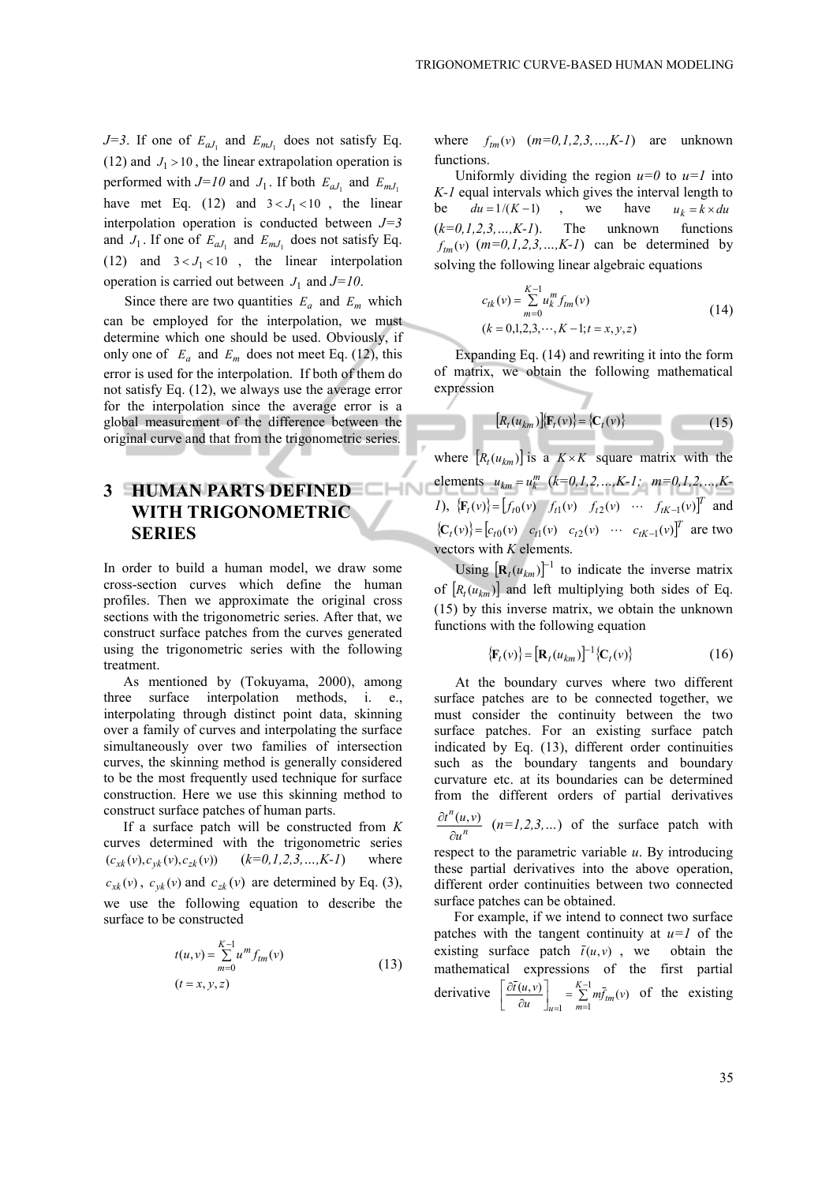*J*=3. If one of  $E_{aJ_1}$  and  $E_{mJ_1}$  does not satisfy Eq. (12) and  $J_1 > 10$ , the linear extrapolation operation is performed with  $J=10$  and  $J_1$ . If both  $E_{aJ_1}$  and  $E_{mJ_1}$ have met Eq.  $(12)$  and  $3 < J<sub>1</sub> < 10$ , the linear interpolation operation is conducted between *J=3* and  $J_1$ . If one of  $E_{aJ_1}$  and  $E_{mJ_1}$  does not satisfy Eq. (12) and  $3 < J_1 < 10$ , the linear interpolation operation is carried out between  $J_1$  and  $J=10$ .

Since there are two quantities  $E_a$  and  $E_m$  which can be employed for the interpolation, we must determine which one should be used. Obviously, if only one of  $E_a$  and  $E_m$  does not meet Eq. (12), this error is used for the interpolation. If both of them do not satisfy Eq. (12), we always use the average error for the interpolation since the average error is a global measurement of the difference between the original curve and that from the trigonometric series.

# **3 HUMAN PARTS DEFINED WITH TRIGONOMETRIC SERIES**

In order to build a human model, we draw some cross-section curves which define the human profiles. Then we approximate the original cross sections with the trigonometric series. After that, we construct surface patches from the curves generated using the trigonometric series with the following treatment.

As mentioned by (Tokuyama, 2000), among three surface interpolation methods, i. e., interpolating through distinct point data, skinning over a family of curves and interpolating the surface simultaneously over two families of intersection curves, the skinning method is generally considered to be the most frequently used technique for surface construction. Here we use this skinning method to construct surface patches of human parts.

If a surface patch will be constructed from *K* curves determined with the trigonometric series  $(c_{xk}(v), c_{yk}(v), c_{zk}(v))$   $(k=0,1,2,3,...,K-1)$  where  $c_{xk}(v)$ ,  $c_{yk}(v)$  and  $c_{zk}(v)$  are determined by Eq. (3), we use the following equation to describe the surface to be constructed

$$
t(u, v) = \sum_{m=0}^{K-1} u^m f_{tm}(v)
$$
  
(*t* = *x*, *y*, *z*) (13)

where  $f_{tm}(v)$   $(m=0,1,2,3,...,K-1)$  are unknown functions.

Uniformly dividing the region  $u=0$  to  $u=1$  into *K-1* equal intervals which gives the interval length to be  $du = 1/(K-1)$ , we have  $u_k = k \times du$  $(k=0,1,2,3,...,K-1)$ . The unknown functions  $f_{tm}(v)$   $(m=0,1,2,3,...,K-1)$  can be determined by solving the following linear algebraic equations

$$
c_{tk}(v) = \sum_{m=0}^{K-1} u_k^m f_{tm}(v)
$$
  
(k = 0,1,2,3,..., K - 1; t = x, y, z) (14)

Expanding Eq. (14) and rewriting it into the form of matrix, we obtain the following mathematical expression

$$
[R_t(u_{km})](\mathbf{F}_t(v)) = \{\mathbf{C}_t(v)\}\tag{15}
$$

where  $[R_t(u_{km})]$  is a  $K \times K$  square matrix with the elements  $u_{km} = u_k^m$  ( $k=0,1,2,...,K-1$ ;  $m=0,1,2,...,K-1$ *I*),  ${\{\mathbf{F}_t(v)\}} = [f_{t0}(v) \quad f_{t1}(v) \quad f_{t2}(v) \quad \cdots \quad f_{tK-1}(v)]^T$  and  ${ {\bf C}_t(v) } = [c_{t0}(v) \quad c_{t1}(v) \quad c_{t2}(v) \quad \cdots \quad c_{tK-1}(v) ]^T$  are two vectors with *K* elements.

Using  $[\mathbf{R}_t(u_{km})]^{-1}$  to indicate the inverse matrix of  $[R_t(u_{km})]$  and left multiplying both sides of Eq. (15) by this inverse matrix, we obtain the unknown functions with the following equation

$$
\left\{ \mathbf{F}_t(\mathbf{v}) \right\} = \left[ \mathbf{R}_t(u_{km}) \right]^{-1} \left\{ \mathbf{C}_t(\mathbf{v}) \right\} \tag{16}
$$

At the boundary curves where two different surface patches are to be connected together, we must consider the continuity between the two surface patches. For an existing surface patch indicated by Eq. (13), different order continuities such as the boundary tangents and boundary curvature etc. at its boundaries can be determined from the different orders of partial derivatives

*n n u*  $u^n(u,v)$  $\frac{\partial t^n(u, v)}{\partial u^n}$  (*n*=1,2,3,...) of the surface patch with

respect to the parametric variable *u*. By introducing these partial derivatives into the above operation, different order continuities between two connected surface patches can be obtained.

For example, if we intend to connect two surface patches with the tangent continuity at  $u=1$  of the existing surface patch  $\bar{t}(u,v)$ , we obtain the mathematical expressions of the first partial derivative  $\left[\frac{\partial \bar{t}(u,v)}{\partial u}\right] = \sum_{k=1}^{K}$  $\left[\frac{\partial \overline{t}(u,v)}{\partial u}\right]_{u=1} = \sum_{m=-\infty}^{K}$  $\lfloor$ ∂  $\partial \overline{t}(u,v)$   $\Big]$   $K=1$  $-1$   $m=1$  $\left[\frac{(u, v)}{2}\right] = \sum_{k=1}^{K-1} m \bar{f}_{km}(v)$  $\left[\frac{\partial \overline{f}(u, v)}{\partial u}\right]_{u=1} = \sum_{m=1}^{K-1} m \overline{f}_m(v)$  of the existing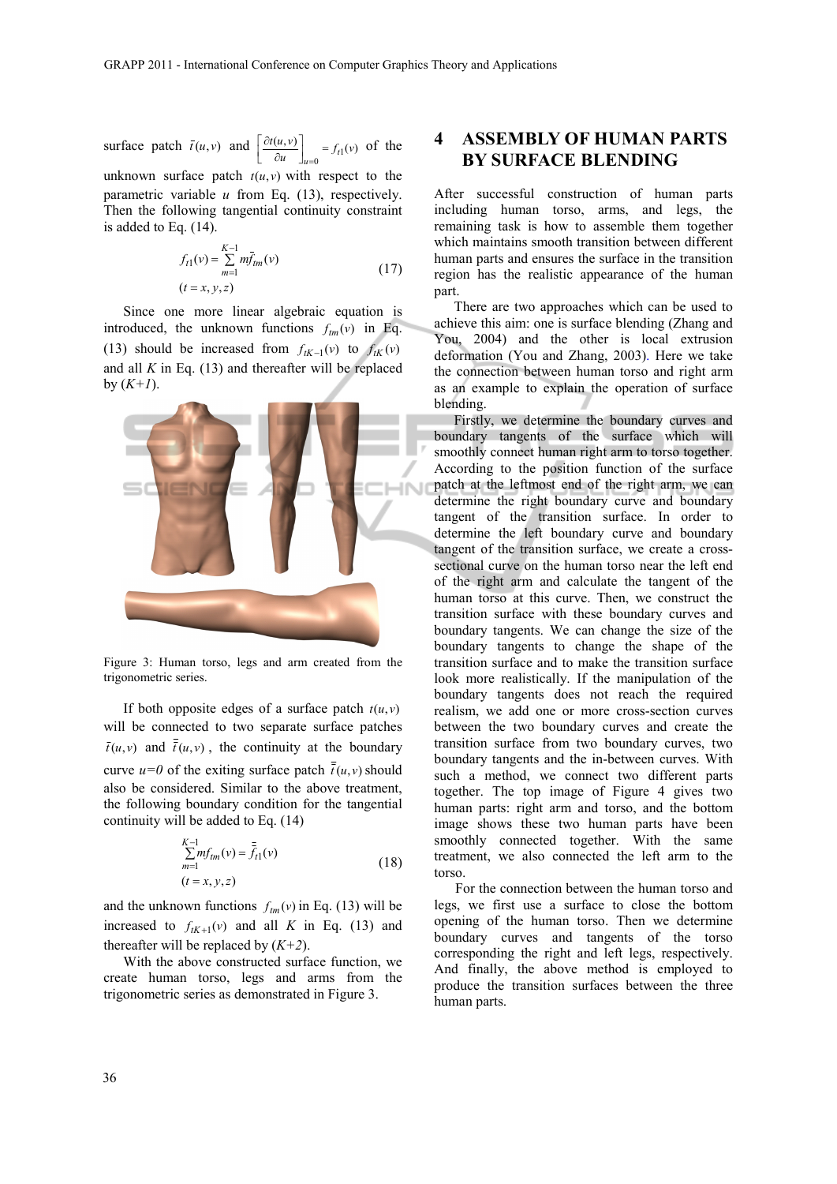surface patch  $\bar{t}(u, v)$  and  $\left[ \frac{\partial t(u, v)}{\partial u} \right]_{u=0} = f_{t1}(v)$  $\mathsf I$ ∂ ∂ = of the

unknown surface patch  $t(u, v)$  with respect to the parametric variable  $u$  from Eq.  $(13)$ , respectively. Then the following tangential continuity constraint is added to Eq. (14).

$$
f_{t1}(v) = \sum_{m=1}^{K-1} m \bar{f}_{tm}(v)
$$
  
(*t* = *x*, *y*, *z*) (17)

Since one more linear algebraic equation is introduced, the unknown functions  $f_{tm}(v)$  in Eq. (13) should be increased from  $f_{tK-1}(v)$  to  $f_{tK}(v)$ and all *K* in Eq. (13) and thereafter will be replaced by  $(K+1)$ .



Figure 3: Human torso, legs and arm created from the trigonometric series.

If both opposite edges of a surface patch  $t(u, v)$ will be connected to two separate surface patches  $\bar{t}(u, v)$  and  $\bar{t}(u, v)$ , the continuity at the boundary curve  $u=0$  of the exiting surface patch  $\bar{t}(u, v)$  should also be considered. Similar to the above treatment, the following boundary condition for the tangential continuity will be added to Eq. (14)

$$
\sum_{m=1}^{K-1} mf_{tm}(v) = \bar{f}_{t1}(v)
$$
  
(18)  

$$
(t = x, y, z)
$$

and the unknown functions  $f_{tm}(v)$  in Eq. (13) will be increased to  $f_{tK+1}(v)$  and all K in Eq. (13) and thereafter will be replaced by  $(K+2)$ .

With the above constructed surface function, we create human torso, legs and arms from the trigonometric series as demonstrated in Figure 3.

### **4 ASSEMBLY OF HUMAN PARTS BY SURFACE BLENDING**

After successful construction of human parts including human torso, arms, and legs, the remaining task is how to assemble them together which maintains smooth transition between different human parts and ensures the surface in the transition region has the realistic appearance of the human part.

There are two approaches which can be used to achieve this aim: one is surface blending (Zhang and You, 2004) and the other is local extrusion deformation (You and Zhang, 2003). Here we take the connection between human torso and right arm as an example to explain the operation of surface blending.

Firstly, we determine the boundary curves and boundary tangents of the surface which will smoothly connect human right arm to torso together. According to the position function of the surface patch at the leftmost end of the right arm, we can determine the right boundary curve and boundary tangent of the transition surface. In order to determine the left boundary curve and boundary tangent of the transition surface, we create a crosssectional curve on the human torso near the left end of the right arm and calculate the tangent of the human torso at this curve. Then, we construct the transition surface with these boundary curves and boundary tangents. We can change the size of the boundary tangents to change the shape of the transition surface and to make the transition surface look more realistically. If the manipulation of the boundary tangents does not reach the required realism, we add one or more cross-section curves between the two boundary curves and create the transition surface from two boundary curves, two boundary tangents and the in-between curves. With such a method, we connect two different parts together. The top image of Figure 4 gives two human parts: right arm and torso, and the bottom image shows these two human parts have been smoothly connected together. With the same treatment, we also connected the left arm to the torso.

For the connection between the human torso and legs, we first use a surface to close the bottom opening of the human torso. Then we determine boundary curves and tangents of the torso corresponding the right and left legs, respectively. And finally, the above method is employed to produce the transition surfaces between the three human parts.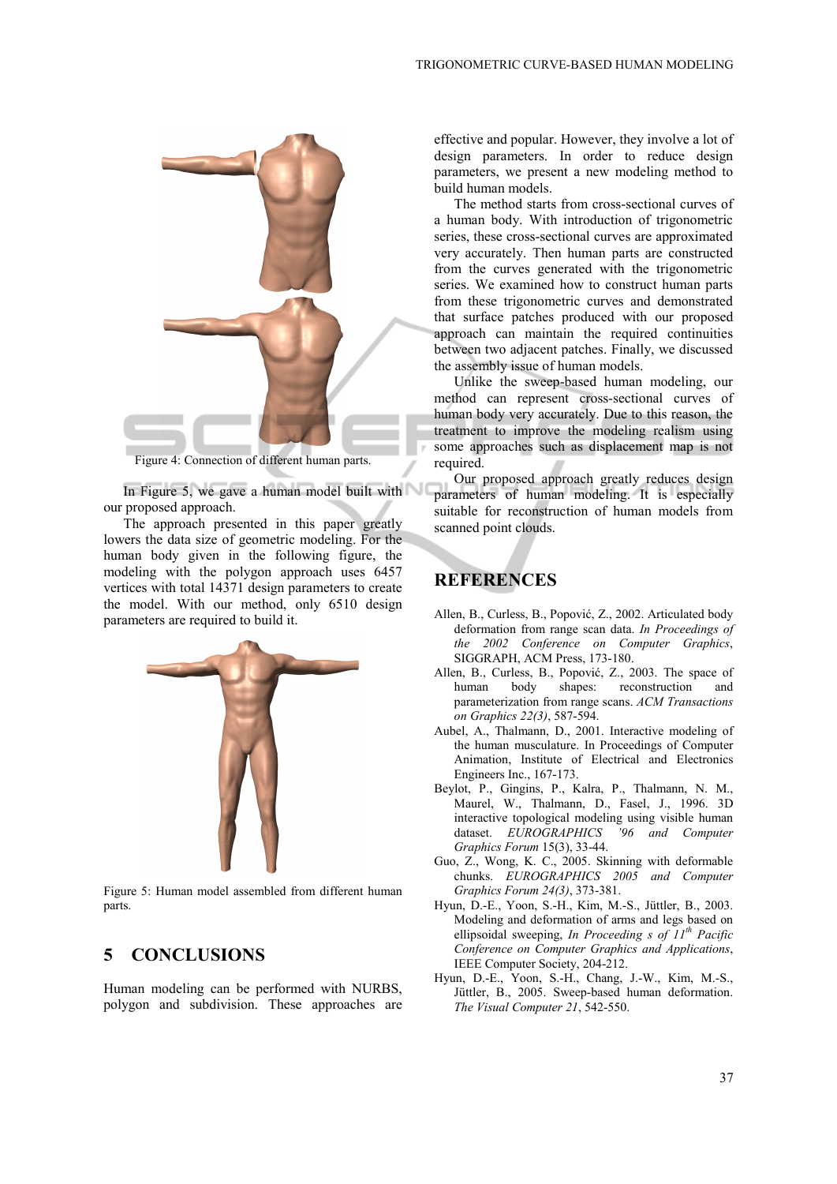

Figure 4: Connection of different human parts.

In Figure 5, we gave a human model built with our proposed approach.

The approach presented in this paper greatly lowers the data size of geometric modeling. For the human body given in the following figure, the modeling with the polygon approach uses 6457 vertices with total 14371 design parameters to create the model. With our method, only 6510 design parameters are required to build it.



Figure 5: Human model assembled from different human parts.

#### **5 CONCLUSIONS**

Human modeling can be performed with NURBS, polygon and subdivision. These approaches are effective and popular. However, they involve a lot of design parameters. In order to reduce design parameters, we present a new modeling method to build human models.

The method starts from cross-sectional curves of a human body. With introduction of trigonometric series, these cross-sectional curves are approximated very accurately. Then human parts are constructed from the curves generated with the trigonometric series. We examined how to construct human parts from these trigonometric curves and demonstrated that surface patches produced with our proposed approach can maintain the required continuities between two adjacent patches. Finally, we discussed the assembly issue of human models.

Unlike the sweep-based human modeling, our method can represent cross-sectional curves of human body very accurately. Due to this reason, the treatment to improve the modeling realism using some approaches such as displacement map is not required.

Our proposed approach greatly reduces design parameters of human modeling. It is especially suitable for reconstruction of human models from scanned point clouds.

## **REFERENCES**

- Allen, B., Curless, B., Popović, Z., 2002. Articulated body deformation from range scan data. *In Proceedings of the 2002 Conference on Computer Graphics*, SIGGRAPH, ACM Press, 173-180.
- Allen, B., Curless, B., Popović, Z., 2003. The space of human body shapes: reconstruction and parameterization from range scans. *ACM Transactions on Graphics 22(3)*, 587-594.
- Aubel, A., Thalmann, D., 2001. Interactive modeling of the human musculature. In Proceedings of Computer Animation, Institute of Electrical and Electronics Engineers Inc., 167-173.
- Beylot, P., Gingins, P., Kalra, P., Thalmann, N. M., Maurel, W., Thalmann, D., Fasel, J., 1996. 3D interactive topological modeling using visible human dataset. *EUROGRAPHICS '96 and Computer Graphics Forum* 15(3), 33-44.
- Guo, Z., Wong, K. C., 2005. Skinning with deformable chunks. *EUROGRAPHICS 2005 and Computer Graphics Forum 24(3)*, 373-381.
- Hyun, D.-E., Yoon, S.-H., Kim, M.-S., Jüttler, B., 2003. Modeling and deformation of arms and legs based on ellipsoidal sweeping, *In Proceeding s of 11th Pacific Conference on Computer Graphics and Applications*, IEEE Computer Society, 204-212.
- Hyun, D.-E., Yoon, S.-H., Chang, J.-W., Kim, M.-S., Jüttler, B., 2005. Sweep-based human deformation. *The Visual Computer 21*, 542-550.